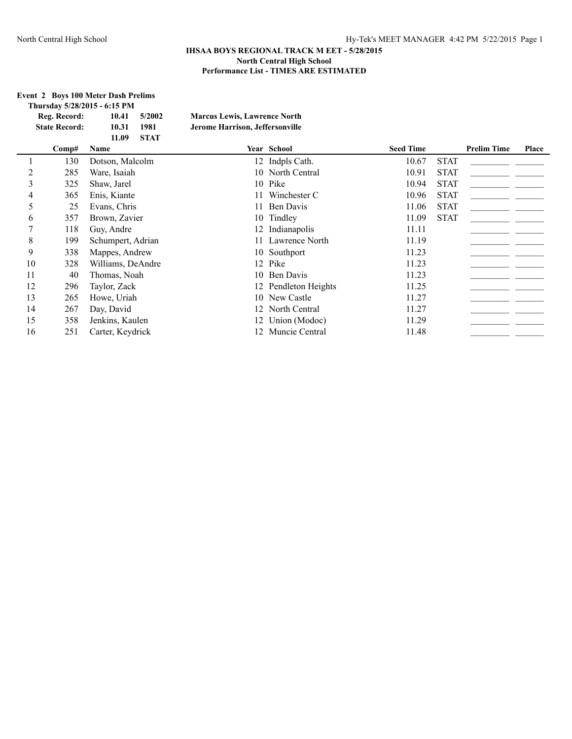### **Event 2 Boys 100 Meter Dash Prelims<br>Thursday 5/28/2015 - 6:15 PM Thursday 5/28/2015 - 6:15 PM**

| Reg. Record:         | 10.41       | 5/2002      | <b>Marcus Lewis, Lawrence North</b> |
|----------------------|-------------|-------------|-------------------------------------|
| <b>State Record:</b> | 10.31       | 1981        | Jerome Harrison, Jeffersonville     |
|                      | 11.09       | <b>STAT</b> |                                     |
| Comp#                | <b>Name</b> |             | Year School                         |

|    | Comp# | Name              | Year School          | <b>Seed Time</b> |             | <b>Prelim Time</b> | Place |
|----|-------|-------------------|----------------------|------------------|-------------|--------------------|-------|
|    | 130   | Dotson, Malcolm   | 12 Indpls Cath.      | 10.67            | <b>STAT</b> |                    |       |
|    | 285   | Ware, Isaiah      | 10 North Central     | 10.91            | <b>STAT</b> |                    |       |
| 3  | 325   | Shaw, Jarel       | 10 Pike              | 10.94            | <b>STAT</b> |                    |       |
| 4  | 365   | Enis, Kiante      | 11 Winchester C      | 10.96            | <b>STAT</b> |                    |       |
| 5  | 25    | Evans, Chris      | 11 Ben Davis         | 11.06            | <b>STAT</b> |                    |       |
| 6  | 357   | Brown, Zavier     | 10 Tindley           | 11.09            | <b>STAT</b> |                    |       |
|    | 118   | Guy, Andre        | 12 Indianapolis      | 11.11            |             |                    |       |
| 8  | 199   | Schumpert, Adrian | 11 Lawrence North    | 11.19            |             |                    |       |
| 9  | 338   | Mappes, Andrew    | 10 Southport         | 11.23            |             |                    |       |
| 10 | 328   | Williams, DeAndre | 12 Pike              | 11.23            |             |                    |       |
| 11 | 40    | Thomas, Noah      | 10 Ben Davis         | 11.23            |             |                    |       |
| 12 | 296   | Taylor, Zack      | 12 Pendleton Heights | 11.25            |             |                    |       |
| 13 | 265   | Howe, Uriah       | 10 New Castle        | 11.27            |             |                    |       |
| 14 | 267   | Day, David        | 12 North Central     | 11.27            |             |                    |       |
| 15 | 358   | Jenkins, Kaulen   | 12 Union (Modoc)     | 11.29            |             |                    |       |
| 16 | 251   | Carter, Keydrick  | 12 Muncie Central    | 11.48            |             |                    |       |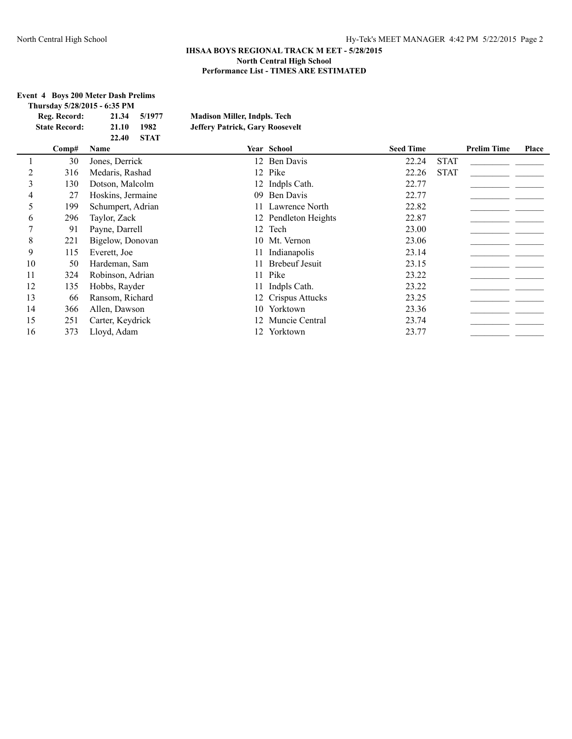## **Event 4 Boys 200 Meter Dash Prelims**

|  |                      | Thursday 5/28/2015 - 6:35 PM |             |                                        |                 |                  |      |                    |       |
|--|----------------------|------------------------------|-------------|----------------------------------------|-----------------|------------------|------|--------------------|-------|
|  | Reg. Record:         | 21.34                        | 5/1977      | <b>Madison Miller, Indpls. Tech</b>    |                 |                  |      |                    |       |
|  | <b>State Record:</b> | 21.10                        | 1982        | <b>Jeffery Patrick, Gary Roosevelt</b> |                 |                  |      |                    |       |
|  |                      | 22.40                        | <b>STAT</b> |                                        |                 |                  |      |                    |       |
|  | Comp#                | <b>Name</b>                  |             | <b>Year School</b>                     |                 | <b>Seed Time</b> |      | <b>Prelim Time</b> | Place |
|  | 30                   | Jones, Derrick               |             |                                        | 12 Ben Davis    | 22.24            | STAT |                    |       |
|  | 316                  | Medaris, Rashad              |             |                                        | 12 Pike         | 22.26            | STAT |                    |       |
|  | l 30                 | Dotson, Malcolm              |             |                                        | 12 Indpls Cath. | 22.77            |      |                    |       |

|    | JV  | JUINS, DUITIUN    |    | 14 DUILDAVIO         |       | 0111        |  |
|----|-----|-------------------|----|----------------------|-------|-------------|--|
|    | 316 | Medaris, Rashad   |    | 12 Pike              | 22.26 | <b>STAT</b> |  |
|    | 130 | Dotson, Malcolm   |    | 12 Indpls Cath.      | 22.77 |             |  |
| 4  | 27  | Hoskins, Jermaine |    | 09 Ben Davis         | 22.77 |             |  |
|    | 199 | Schumpert, Adrian |    | 11 Lawrence North    | 22.82 |             |  |
| 6  | 296 | Taylor, Zack      |    | 12 Pendleton Heights | 22.87 |             |  |
|    | 91  | Payne, Darrell    |    | 12 Tech              | 23.00 |             |  |
| 8  | 221 | Bigelow, Donovan  |    | 10 Mt. Vernon        | 23.06 |             |  |
| 9  | 115 | Everett, Joe      | 11 | Indianapolis         | 23.14 |             |  |
| 10 | 50  | Hardeman, Sam     |    | 11 Brebeuf Jesuit    | 23.15 |             |  |
| 11 | 324 | Robinson, Adrian  |    | 11 Pike              | 23.22 |             |  |
| 12 | 135 | Hobbs, Rayder     |    | 11 Indpls Cath.      | 23.22 |             |  |
| 13 | 66  | Ransom, Richard   |    | 12 Crispus Attucks   | 23.25 |             |  |
| 14 | 366 | Allen, Dawson     |    | 10 Yorktown          | 23.36 |             |  |
| 15 | 251 | Carter, Keydrick  |    | 12 Muncie Central    | 23.74 |             |  |
| 16 | 373 | Lloyd, Adam       |    | 12 Yorktown          | 23.77 |             |  |
|    |     |                   |    |                      |       |             |  |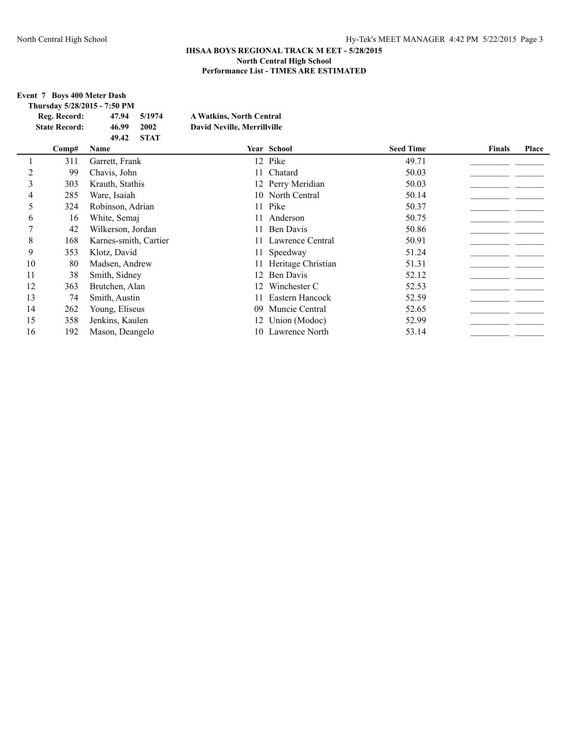# **Event 7 Boys 400 Meter Dash**

| Thursday 5/28/2015 - 7:50 PM |       |             |                                 |
|------------------------------|-------|-------------|---------------------------------|
| Reg. Record:                 | 47.94 | 5/1974      | <b>A Watkins, North Central</b> |
| <b>State Record:</b>         | 46.99 | 2002        | David Neville, Merrillville     |
|                              | 49.42 | <b>STAT</b> |                                 |
| Comn#                        | Name  |             | Vear Scho                       |

|    | Comp# | Name                  |     | Year School           | <b>Seed Time</b> | <b>Finals</b> | Place |
|----|-------|-----------------------|-----|-----------------------|------------------|---------------|-------|
|    | 311   | Garrett, Frank        |     | 12 Pike               | 49.71            |               |       |
| 2  | 99    | Chavis, John          |     | 11 Chatard            | 50.03            |               |       |
| 3  | 303   | Krauth, Stathis       |     | 12 Perry Meridian     | 50.03            |               |       |
|    | 285   | Ware, Isaiah          |     | 10 North Central      | 50.14            |               |       |
| 5  | 324   | Robinson, Adrian      |     | 11 Pike               | 50.37            |               |       |
| 6  | 16    | White, Semaj          | 11  | Anderson              | 50.75            |               |       |
|    | 42    | Wilkerson, Jordan     |     | 11 Ben Davis          | 50.86            |               |       |
| 8  | 168   | Karnes-smith, Cartier |     | 11 Lawrence Central   | 50.91            |               |       |
| 9  | 353   | Klotz, David          |     | 11 Speedway           | 51.24            |               |       |
| 10 | 80    | Madsen, Andrew        |     | 11 Heritage Christian | 51.31            |               |       |
| 11 | 38    | Smith, Sidney         |     | 12 Ben Davis          | 52.12            |               |       |
| 12 | 363   | Brutchen, Alan        | 12. | Winchester C          | 52.53            |               |       |
| 13 | 74    | Smith, Austin         |     | 11 Eastern Hancock    | 52.59            |               |       |
| 14 | 262   | Young, Eliseus        |     | 09 Muncie Central     | 52.65            |               |       |
| 15 | 358   | Jenkins, Kaulen       |     | 12 Union (Modoc)      | 52.99            |               |       |
| 16 | 192   | Mason, Deangelo       |     | 10 Lawrence North     | 53.14            |               |       |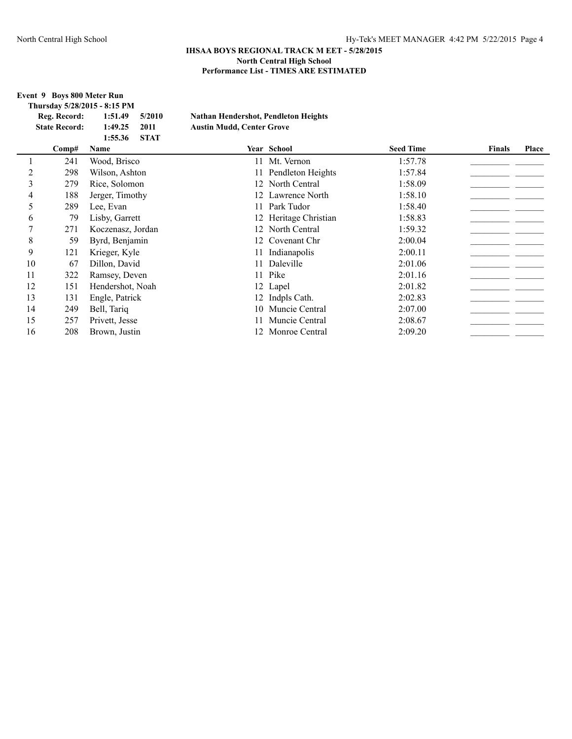$\mathbf{F}$ **inals Place** 

## **IHSAA BOYS REGIONAL TRACK M EET - 5/28/2015 North Central High School Performance List - TIMES ARE ESTIMATED**

**Event 9 Boys 800 Meter Run**

|    |                      | Thursday 5/28/2015 - 8:15 PM |                                             |                       |                  |               |              |
|----|----------------------|------------------------------|---------------------------------------------|-----------------------|------------------|---------------|--------------|
|    | Reg. Record:         | 1:51.49<br>5/2010            | <b>Nathan Hendershot, Pendleton Heights</b> |                       |                  |               |              |
|    | <b>State Record:</b> | 1:49.25<br>2011              | <b>Austin Mudd, Center Grove</b>            |                       |                  |               |              |
|    |                      | <b>STAT</b><br>1:55.36       |                                             |                       |                  |               |              |
|    | Comp#                | Name                         |                                             | Year School           | <b>Seed Time</b> | <b>Finals</b> | <b>Place</b> |
|    | 241                  | Wood, Brisco                 | 11                                          | Mt. Vernon            | 1:57.78          |               |              |
| 2  | 298                  | Wilson, Ashton               |                                             | 11 Pendleton Heights  | 1:57.84          |               |              |
| 3  | 279                  | Rice, Solomon                |                                             | 12 North Central      | 1:58.09          |               |              |
| 4  | 188                  | Jerger, Timothy              |                                             | 12 Lawrence North     | 1:58.10          |               |              |
| 5  | 289                  | Lee, Evan                    | 11                                          | Park Tudor            | 1:58.40          |               |              |
| 6  | 79                   | Lisby, Garrett               |                                             | 12 Heritage Christian | 1:58.83          |               |              |
| 7  | 271                  | Koczenasz, Jordan            | 12                                          | North Central         | 1:59.32          |               |              |
| 8  | 59                   | Byrd, Benjamin               | 12                                          | Covenant Chr          | 2:00.04          |               |              |
| 9  | 121                  | Krieger, Kyle                | 11                                          | Indianapolis          | 2:00.11          |               |              |
| 10 | 67                   | Dillon, David                | 11                                          | Daleville             | 2:01.06          |               |              |
| 11 | 322                  | Ramsey, Deven                | 11                                          | Pike                  | 2:01.16          |               |              |
| 12 | 151                  | Hendershot, Noah             |                                             | 12 Lapel              | 2:01.82          |               |              |
| 13 | 131                  | Engle, Patrick               | 12                                          | Indpls Cath.          | 2:02.83          |               |              |
| 14 | 249                  | Bell, Tariq                  |                                             | 10 Muncie Central     | 2:07.00          |               |              |
| 15 | 257                  | Privett, Jesse               |                                             | Muncie Central        | 2:08.67          |               |              |
| 16 | 208                  | Brown, Justin                |                                             | Monroe Central        | 2:09.20          |               |              |
|    |                      |                              |                                             |                       |                  |               |              |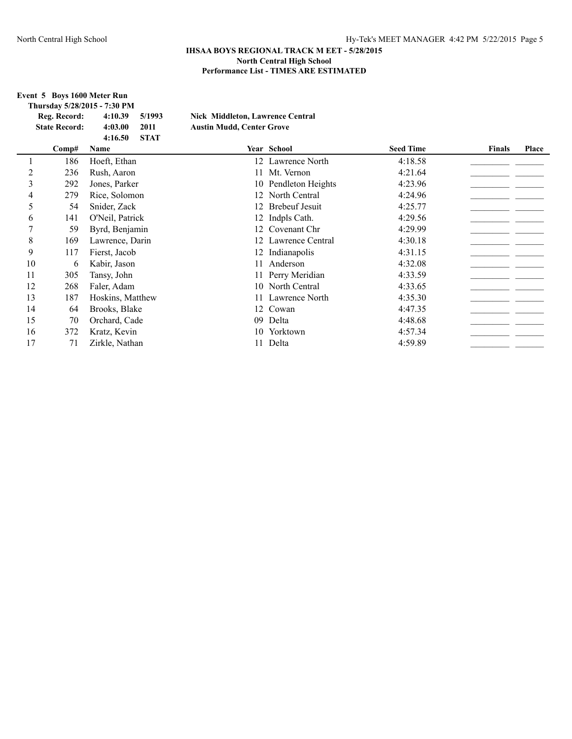### **Event 5 Boys 1600 Meter Run**

|                |                      | Thursday 5/28/2015 - 7:30 PM |                                         |                       |                  |               |       |
|----------------|----------------------|------------------------------|-----------------------------------------|-----------------------|------------------|---------------|-------|
|                | Reg. Record:         | 4:10.39<br>5/1993            | <b>Nick Middleton, Lawrence Central</b> |                       |                  |               |       |
|                | <b>State Record:</b> | 4:03.00<br>2011              | <b>Austin Mudd, Center Grove</b>        |                       |                  |               |       |
|                |                      | <b>STAT</b><br>4:16.50       |                                         |                       |                  |               |       |
|                | Comp#                | Name                         |                                         | Year School           | <b>Seed Time</b> | <b>Finals</b> | Place |
|                | 186                  | Hoeft, Ethan                 |                                         | 12 Lawrence North     | 4:18.58          |               |       |
| 2              | 236                  | Rush, Aaron                  |                                         | 11 Mt. Vernon         | 4:21.64          |               |       |
| $\overline{3}$ | 292                  | Jones, Parker                |                                         | 10 Pendleton Heights  | 4:23.96          |               |       |
| 4              | 279                  | Rice, Solomon                | 12                                      | North Central         | 4:24.96          |               |       |
| 5              | 54                   | Snider, Zack                 | 12                                      | <b>Brebeuf Jesuit</b> | 4:25.77          |               |       |
| 6              | 141                  | O'Neil, Patrick              |                                         | 12 Indpls Cath.       | 4:29.56          |               |       |
| 7              | 59                   | Byrd, Benjamin               | 12                                      | Covenant Chr          | 4:29.99          |               |       |
| 8              | 169                  | Lawrence, Darin              |                                         | Lawrence Central      | 4:30.18          |               |       |
| 9              | 117                  | Fierst, Jacob                |                                         | 12 Indianapolis       | 4:31.15          |               |       |
| 10             | 6                    | Kabir, Jason                 | 11                                      | Anderson              | 4:32.08          |               |       |
| 11             | 305                  | Tansy, John                  |                                         | 11 Perry Meridian     | 4:33.59          |               |       |
| 12             | 268                  | Faler, Adam                  |                                         | 10 North Central      | 4:33.65          |               |       |
| 13             | 187                  | Hoskins, Matthew             |                                         | 11 Lawrence North     | 4:35.30          |               |       |
| 14             | 64                   | Brooks, Blake                |                                         | 12 Cowan              | 4:47.35          |               |       |
| 15             | 70                   | Orchard, Cade                | 09                                      | Delta                 | 4:48.68          |               |       |
| 16             | 372                  | Kratz, Kevin                 |                                         | 10 Yorktown           | 4:57.34          |               |       |
| 17             | 71                   | Zirkle, Nathan               |                                         | 11 Delta              | 4:59.89          |               |       |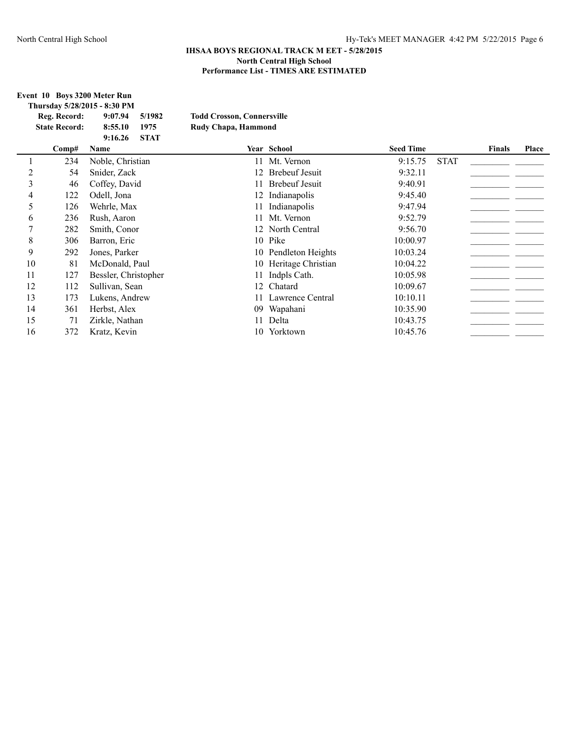**Event 10 Boys 3200 Meter Run Thursday 5/28/2015 - 8:30 PM**

|    |                      | THUI SUAY 3/40/4013 = 0.30 T IVI |                                   |                       |                  |             |               |       |
|----|----------------------|----------------------------------|-----------------------------------|-----------------------|------------------|-------------|---------------|-------|
|    | Reg. Record:         | 9:07.94<br>5/1982                | <b>Todd Crosson, Connersville</b> |                       |                  |             |               |       |
|    | <b>State Record:</b> | 8:55.10<br>1975                  | Rudy Chapa, Hammond               |                       |                  |             |               |       |
|    |                      | <b>STAT</b><br>9:16.26           |                                   |                       |                  |             |               |       |
|    | Comp#                | Name                             |                                   | Year School           | <b>Seed Time</b> |             | <b>Finals</b> | Place |
|    | 234                  | Noble, Christian                 |                                   | 11 Mt. Vernon         | 9:15.75          | <b>STAT</b> |               |       |
| 2  | 54                   | Snider, Zack                     | 12                                | <b>Brebeuf Jesuit</b> | 9:32.11          |             |               |       |
| 3  | 46                   | Coffey, David                    | 11                                | <b>Brebeuf Jesuit</b> | 9:40.91          |             |               |       |
| 4  | 122                  | Odell, Jona                      | 12                                | Indianapolis          | 9:45.40          |             |               |       |
| 5  | 126                  | Wehrle, Max                      | 11                                | Indianapolis          | 9:47.94          |             |               |       |
| 6  | 236                  | Rush, Aaron                      | 11                                | Mt. Vernon            | 9:52.79          |             |               |       |
| 7  | 282                  | Smith, Conor                     | 12                                | North Central         | 9:56.70          |             |               |       |
| 8  | 306                  | Barron, Eric                     |                                   | 10 Pike               | 10:00.97         |             |               |       |
| 9  | 292                  | Jones, Parker                    |                                   | 10 Pendleton Heights  | 10:03.24         |             |               |       |
| 10 | 81                   | McDonald, Paul                   | 10                                | Heritage Christian    | 10:04.22         |             |               |       |
| 11 | 127                  | Bessler, Christopher             | 11                                | Indpls Cath.          | 10:05.98         |             |               |       |
| 12 | 112                  | Sullivan, Sean                   | 12                                | Chatard               | 10:09.67         |             |               |       |
| 13 | 173                  | Lukens, Andrew                   | 11                                | Lawrence Central      | 10:10.11         |             |               |       |
| 14 | 361                  | Herbst, Alex                     | 09                                | Wapahani              | 10:35.90         |             |               |       |
| 15 | 71                   | Zirkle, Nathan                   | 11                                | Delta                 | 10:43.75         |             |               |       |
| 16 | 372                  | Kratz, Kevin                     |                                   | 10 Yorktown           | 10:45.76         |             |               |       |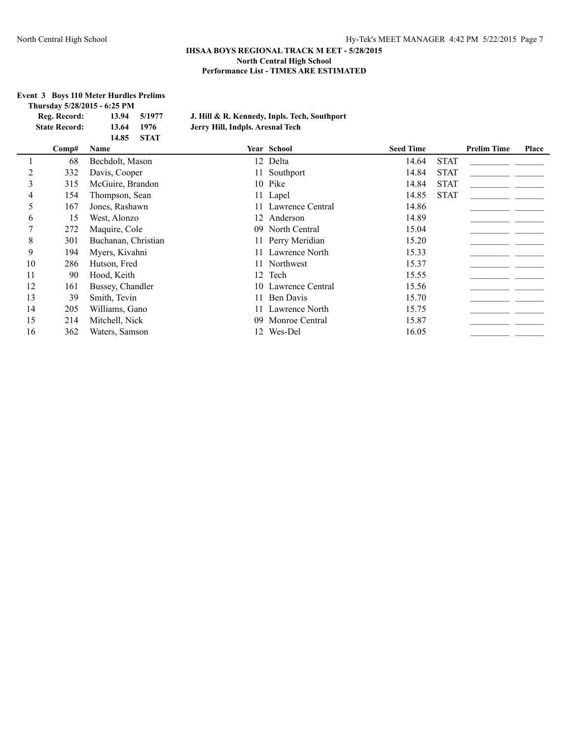### **Event 3 Boys 110 Meter Hurdles Prelims Thursday 5/28/2015 - 6:25 PM**

| Reg. Record:         |       | 13.94 5/1977 | J. Hill & R. Kennedy, Inpls. Tech, Southport |  |
|----------------------|-------|--------------|----------------------------------------------|--|
| <b>State Record:</b> | 13.64 | -1976        | Jerry Hill, Indpls. Aresnal Tech             |  |
|                      | 14.85 | - STAT       |                                              |  |
| $\mathbf{u}$         |       |              | $\sim$ $\sim$                                |  |

|    | Comp# | Name                |    | Year School         | <b>Seed Time</b> |             | <b>Prelim Time</b> | Place |
|----|-------|---------------------|----|---------------------|------------------|-------------|--------------------|-------|
|    | 68    | Bechdolt, Mason     |    | 12 Delta            | 14.64            | <b>STAT</b> |                    |       |
| 2  | 332   | Davis, Cooper       |    | 11 Southport        | 14.84            | <b>STAT</b> |                    |       |
| 3  | 315   | McGuire, Brandon    |    | 10 Pike             | 14.84            | <b>STAT</b> |                    |       |
| 4  | 154   | Thompson, Sean      |    | 11 Lapel            | 14.85            | <b>STAT</b> |                    |       |
| 5  | 167   | Jones, Rashawn      |    | 11 Lawrence Central | 14.86            |             |                    |       |
| 6  | 15    | West, Alonzo        | 12 | Anderson            | 14.89            |             |                    |       |
| 7  | 272   | Maquire, Cole       |    | 09 North Central    | 15.04            |             |                    |       |
| 8  | 301   | Buchanan, Christian |    | 11 Perry Meridian   | 15.20            |             |                    |       |
| 9  | 194   | Myers, Kivahni      |    | 11 Lawrence North   | 15.33            |             |                    |       |
| 10 | 286   | Hutson, Fred        |    | 11 Northwest        | 15.37            |             |                    |       |
| 11 | 90    | Hood, Keith         | 12 | Tech                | 15.55            |             |                    |       |
| 12 | 161   | Bussey, Chandler    |    | 10 Lawrence Central | 15.56            |             |                    |       |
| 13 | 39    | Smith, Tevin        |    | 11 Ben Davis        | 15.70            |             |                    |       |
| 14 | 205   | Williams, Gano      |    | 11 Lawrence North   | 15.75            |             |                    |       |
| 15 | 214   | Mitchell, Nick      | 09 | Monroe Central      | 15.87            |             |                    |       |
| 16 | 362   | Waters, Samson      |    | 12 Wes-Del          | 16.05            |             |                    |       |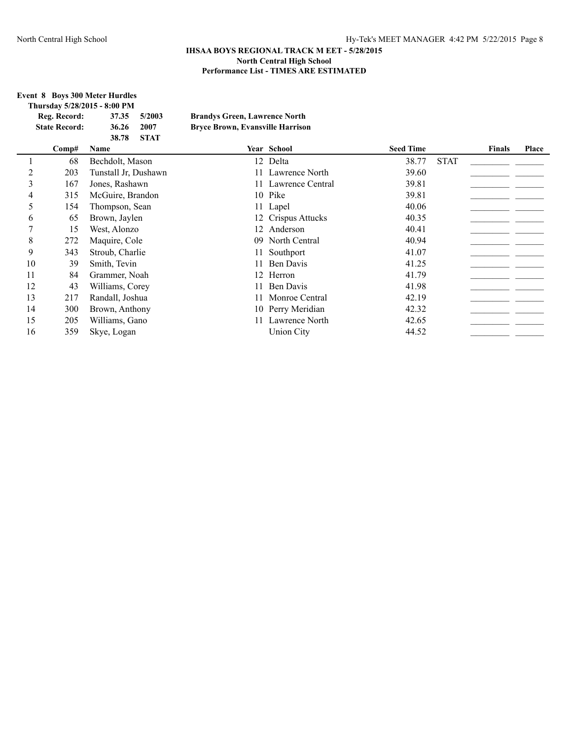## **IHSAA BOYS REGIONAL TRACK M EET - 5/28/2015 North Central High School Performance List - TIMES ARE ESTIMATED**

# **Event 8 Boys 300 Meter Hurdles**

|    |                                      | EVENT O DOVS 500 METER HUI LIES<br>Thursday 5/28/2015 - 8:00 PM |                                                                                 |                   |                  |             |               |       |
|----|--------------------------------------|-----------------------------------------------------------------|---------------------------------------------------------------------------------|-------------------|------------------|-------------|---------------|-------|
|    | Reg. Record:<br><b>State Record:</b> | 5/2003<br>37.35<br>36.26<br>2007<br><b>STAT</b><br>38.78        | <b>Brandys Green, Lawrence North</b><br><b>Bryce Brown, Evansville Harrison</b> |                   |                  |             |               |       |
|    | Comp#                                | Name                                                            |                                                                                 | Year School       | <b>Seed Time</b> |             | <b>Finals</b> | Place |
|    | 68                                   | Bechdolt, Mason                                                 |                                                                                 | 12 Delta          | 38.77            | <b>STAT</b> |               |       |
| 2  | 203                                  | Tunstall Jr, Dushawn                                            |                                                                                 | 11 Lawrence North | 39.60            |             |               |       |
| 3  | 167                                  | Jones, Rashawn                                                  | 11.                                                                             | Lawrence Central  | 39.81            |             |               |       |
| 4  | 315                                  | McGuire, Brandon                                                |                                                                                 | 10 Pike           | 39.81            |             |               |       |
| 5  | 154                                  | Thompson, Sean                                                  |                                                                                 | 11 Lapel          | 40.06            |             |               |       |
| 6  | 65                                   | Brown, Jaylen                                                   | 12                                                                              | Crispus Attucks   | 40.35            |             |               |       |
| 7  | 15                                   | West, Alonzo                                                    | 12                                                                              | Anderson          | 40.41            |             |               |       |
| 8  | 272                                  | Maquire, Cole                                                   | 09                                                                              | North Central     | 40.94            |             |               |       |
| 9  | 343                                  | Stroub, Charlie                                                 |                                                                                 | Southport         | 41.07            |             |               |       |
| 10 | 39                                   | Smith, Tevin                                                    |                                                                                 | Ben Davis         | 41.25            |             |               |       |
| 11 | 84                                   | Grammer, Noah                                                   | 12                                                                              | Herron            | 41.79            |             |               |       |
| 12 | 43                                   | Williams, Corey                                                 | 11                                                                              | Ben Davis         | 41.98            |             |               |       |
| 13 | 217                                  | Randall, Joshua                                                 |                                                                                 | Monroe Central    | 42.19            |             |               |       |
| 14 | 300                                  | Brown, Anthony                                                  |                                                                                 | 10 Perry Meridian | 42.32            |             |               |       |
| 15 | 205                                  | Williams, Gano                                                  | 11                                                                              | Lawrence North    | 42.65            |             |               |       |
| 16 | 359                                  | Skye, Logan                                                     |                                                                                 | <b>Union City</b> | 44.52            |             |               |       |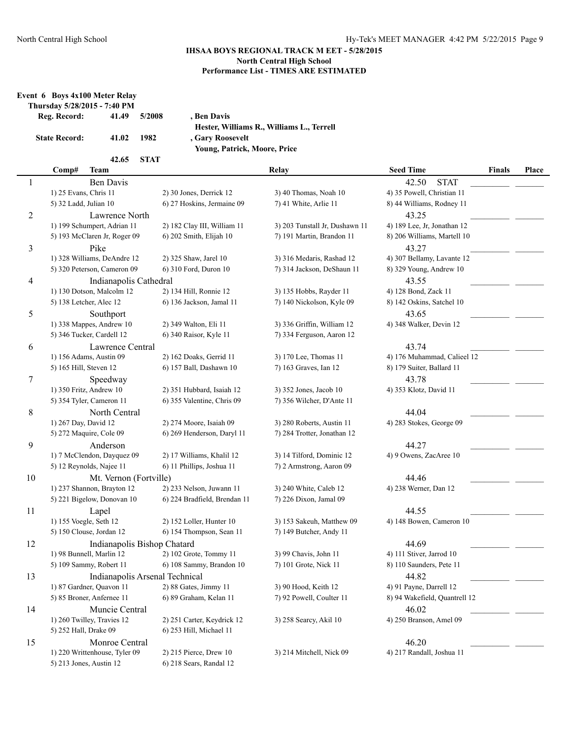| Event 6 Boys 4x100 Meter Relay |       |        |                         |
|--------------------------------|-------|--------|-------------------------|
| Thursday 5/28/2015 - 7:40 PM   |       |        |                         |
| Reg. Record:                   | 41.49 | 5/2008 | , Ben Davis             |
|                                |       |        | <b>Hester, Williams</b> |
| <b>State Record:</b>           | 41.02 | 1982   | , Gary Roosevelt        |

**Hester, Williams R., Williams L., Terrell Young, Patrick, Moore, Price**

**42.65 STAT**

|                | Comp#<br><b>Team</b>           |                              | Relay                          | <b>Seed Time</b>              | <b>Finals</b> | Place |
|----------------|--------------------------------|------------------------------|--------------------------------|-------------------------------|---------------|-------|
| 1              | <b>Ben Davis</b>               |                              |                                | <b>STAT</b><br>42.50          |               |       |
|                | 1) 25 Evans, Chris 11          | 2) 30 Jones, Derrick 12      | 3) 40 Thomas, Noah 10          | 4) 35 Powell, Christian 11    |               |       |
|                | 5) 32 Ladd, Julian 10          | 6) 27 Hoskins, Jermaine 09   | 7) 41 White, Arlie 11          | 8) 44 Williams, Rodney 11     |               |       |
| $\overline{c}$ | Lawrence North                 |                              |                                | 43.25                         |               |       |
|                | 1) 199 Schumpert, Adrian 11    | 2) 182 Clay III, William 11  | 3) 203 Tunstall Jr, Dushawn 11 | 4) 189 Lee, Jr, Jonathan 12   |               |       |
|                | 5) 193 McClaren Jr, Roger 09   | 6) 202 Smith, Elijah 10      | 7) 191 Martin, Brandon 11      | 8) 206 Williams, Martell 10   |               |       |
| 3              | Pike                           |                              |                                | 43.27                         |               |       |
|                | 1) 328 Williams, DeAndre 12    | 2) 325 Shaw, Jarel 10        | 3) 316 Medaris, Rashad 12      | 4) 307 Bellamy, Lavante 12    |               |       |
|                | 5) 320 Peterson, Cameron 09    | 6) 310 Ford, Duron 10        | 7) 314 Jackson, DeShaun 11     | 8) 329 Young, Andrew 10       |               |       |
| 4              | Indianapolis Cathedral         |                              |                                | 43.55                         |               |       |
|                | 1) 130 Dotson, Malcolm 12      | 2) 134 Hill, Ronnie 12       | 3) 135 Hobbs, Rayder 11        | 4) 128 Bond, Zack 11          |               |       |
|                | 5) 138 Letcher, Alec 12        | 6) 136 Jackson, Jamal 11     | 7) 140 Nickolson, Kyle 09      | 8) 142 Oskins, Satchel 10     |               |       |
| 5              | Southport                      |                              |                                | 43.65                         |               |       |
|                | 1) 338 Mappes, Andrew 10       | 2) 349 Walton, Eli 11        | 3) 336 Griffin, William 12     | 4) 348 Walker, Devin 12       |               |       |
|                | 5) 346 Tucker, Cardell 12      | 6) 340 Raisor, Kyle 11       | 7) 334 Ferguson, Aaron 12      |                               |               |       |
| 6              | Lawrence Central               |                              |                                | 43.74                         |               |       |
|                | 1) 156 Adams, Austin 09        | 2) 162 Doaks, Gerrid 11      | 3) 170 Lee, Thomas 11          | 4) 176 Muhammad, Calieel 12   |               |       |
|                | 5) 165 Hill, Steven 12         | 6) 157 Ball, Dashawn 10      | 7) 163 Graves, Ian 12          | 8) 179 Suiter, Ballard 11     |               |       |
| $\tau$         | Speedway                       |                              |                                | 43.78                         |               |       |
|                | 1) 350 Fritz, Andrew 10        | 2) 351 Hubbard, Isaiah 12    | 3) 352 Jones, Jacob 10         | 4) 353 Klotz, David 11        |               |       |
|                | 5) 354 Tyler, Cameron 11       | 6) 355 Valentine, Chris 09   | 7) 356 Wilcher, D'Ante 11      |                               |               |       |
| 8              | North Central                  |                              |                                | 44.04                         |               |       |
|                | 1) 267 Day, David 12           | 2) 274 Moore, Isaiah 09      | 3) 280 Roberts, Austin 11      | 4) 283 Stokes, George 09      |               |       |
|                | 5) 272 Maquire, Cole 09        | 6) 269 Henderson, Daryl 11   | 7) 284 Trotter, Jonathan 12    |                               |               |       |
| 9              | Anderson                       |                              |                                | 44.27                         |               |       |
|                | 1) 7 McClendon, Dayquez 09     | 2) 17 Williams, Khalil 12    | 3) 14 Tilford, Dominic 12      | 4) 9 Owens, ZacAree 10        |               |       |
|                | 5) 12 Reynolds, Najee 11       | 6) 11 Phillips, Joshua 11    | 7) 2 Armstrong, Aaron 09       |                               |               |       |
| 10             | Mt. Vernon (Fortville)         |                              |                                | 44.46                         |               |       |
|                | 1) 237 Shannon, Brayton 12     | 2) 233 Nelson, Juwann 11     | 3) 240 White, Caleb 12         | 4) 238 Werner, Dan 12         |               |       |
|                | 5) 221 Bigelow, Donovan 10     | 6) 224 Bradfield, Brendan 11 | 7) 226 Dixon, Jamal 09         |                               |               |       |
| 11             | Lapel                          |                              |                                | 44.55                         |               |       |
|                | 1) 155 Voegle, Seth 12         | 2) 152 Loller, Hunter 10     | 3) 153 Sakeuh, Matthew 09      | 4) 148 Bowen, Cameron 10      |               |       |
|                | 5) 150 Clouse, Jordan 12       | 6) 154 Thompson, Sean 11     | 7) 149 Butcher, Andy 11        |                               |               |       |
| 12             | Indianapolis Bishop Chatard    |                              |                                | 44.69                         |               |       |
|                | 1) 98 Bunnell, Marlin 12       | 2) 102 Grote, Tommy 11       | 3) 99 Chavis, John 11          | 4) 111 Stiver, Jarrod 10      |               |       |
|                | 5) 109 Sammy, Robert 11        | 6) 108 Sammy, Brandon 10     | 7) 101 Grote, Nick 11          | 8) 110 Saunders, Pete 11      |               |       |
| 13             | Indianapolis Arsenal Technical |                              |                                | 44.82                         |               |       |
|                | 1) 87 Gardner, Quavon 11       | 2) 88 Gates, Jimmy 11        | 3) 90 Hood, Keith 12           | 4) 91 Payne, Darrell 12       |               |       |
|                | 5) 85 Broner, Anfernee 11      | 6) 89 Graham, Kelan 11       | 7) 92 Powell, Coulter 11       | 8) 94 Wakefield, Quantrell 12 |               |       |
| 14             | Muncie Central                 |                              |                                | 46.02                         |               |       |
|                | 1) 260 Twilley, Travies 12     | 2) 251 Carter, Keydrick 12   | 3) 258 Searcy, Akil 10         | 4) 250 Branson, Amel 09       |               |       |
|                | 5) 252 Hall, Drake 09          | 6) 253 Hill, Michael 11      |                                |                               |               |       |
| 15             | Monroe Central                 |                              |                                | 46.20                         |               |       |
|                | 1) 220 Writtenhouse, Tyler 09  | 2) 215 Pierce, Drew 10       | 3) 214 Mitchell, Nick 09       | 4) 217 Randall, Joshua 11     |               |       |
|                | 5) 213 Jones, Austin 12        | 6) 218 Sears, Randal 12      |                                |                               |               |       |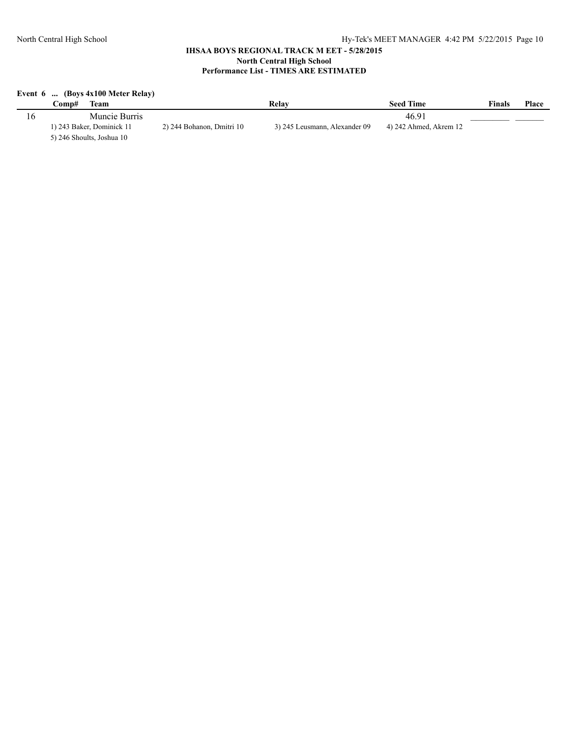# **Event 6 ... (Boys 4x100 Meter Relay)**

| `omp#<br>l`eam            |                           | Relav                         | <b>Seed Time</b>       | <b>Finals</b> | Place |
|---------------------------|---------------------------|-------------------------------|------------------------|---------------|-------|
| Muncie Burris             |                           |                               | 46.91                  |               |       |
| 1) 243 Baker, Dominick 11 | 2) 244 Bohanon, Dmitri 10 | 3) 245 Leusmann, Alexander 09 | 4) 242 Ahmed, Akrem 12 |               |       |
| 5) 246 Shoults, Joshua 10 |                           |                               |                        |               |       |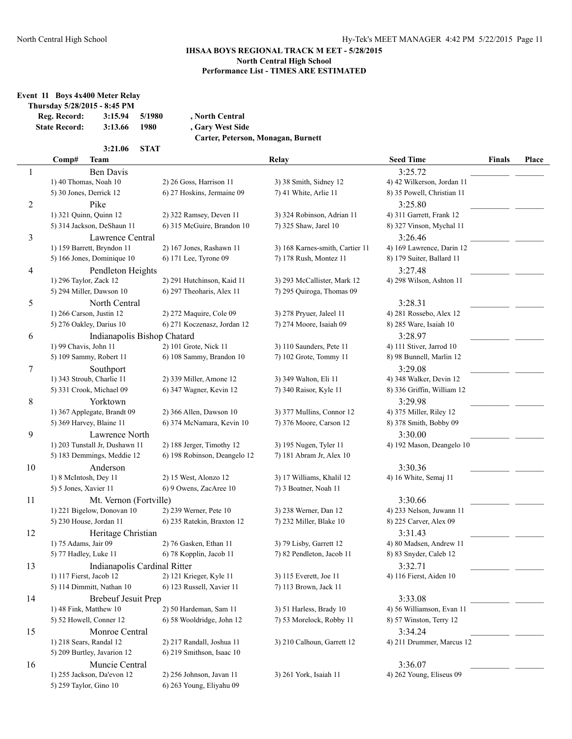**Event 11 Boys 4x400 Meter Relay**

| Thursday 5/28/2015 - 8:45 PM |         |               |
|------------------------------|---------|---------------|
| Reg. Record:                 | 3:15.94 | 5/198         |
| <b><i><u>CIITE</u></i></b>   | 2.127   | $\lambda$ 000 |

**Reg. Record: 3:15.94 5/1980 , North Central State Record: 3:13.66 1980 , Gary West Side Carter, Peterson, Monagan, Burnett**

**3:21.06 STAT**

|    | <b>Team</b><br>Comp#           |                              |                              | Relay                           | <b>Seed Time</b>           | <b>Finals</b> | Place |
|----|--------------------------------|------------------------------|------------------------------|---------------------------------|----------------------------|---------------|-------|
| 1  | <b>Ben Davis</b>               |                              |                              |                                 | 3:25.72                    |               |       |
|    | 1) 40 Thomas, Noah 10          |                              | 2) 26 Goss, Harrison 11      | 3) 38 Smith, Sidney 12          | 4) 42 Wilkerson, Jordan 11 |               |       |
|    | 5) 30 Jones, Derrick 12        |                              | 6) 27 Hoskins, Jermaine 09   | 7) 41 White, Arlie 11           | 8) 35 Powell, Christian 11 |               |       |
| 2  | Pike                           |                              |                              |                                 | 3:25.80                    |               |       |
|    | 1) 321 Quinn, Quinn 12         |                              | 2) 322 Ramsey, Deven 11      | 3) 324 Robinson, Adrian 11      | 4) 311 Garrett, Frank 12   |               |       |
|    | 5) 314 Jackson, DeShaun 11     |                              | 6) 315 McGuire, Brandon 10   | 7) 325 Shaw, Jarel 10           | 8) 327 Vinson, Mychal 11   |               |       |
| 3  |                                | Lawrence Central             |                              |                                 | 3:26.46                    |               |       |
|    | 1) 159 Barrett, Bryndon 11     |                              | 2) 167 Jones, Rashawn 11     | 3) 168 Karnes-smith, Cartier 11 | 4) 169 Lawrence, Darin 12  |               |       |
|    | 5) 166 Jones, Dominique 10     |                              | 6) 171 Lee, Tyrone 09        | 7) 178 Rush, Montez 11          | 8) 179 Suiter, Ballard 11  |               |       |
| 4  |                                | Pendleton Heights            |                              |                                 | 3:27.48                    |               |       |
|    | 1) 296 Taylor, Zack 12         |                              | 2) 291 Hutchinson, Kaid 11   | 3) 293 McCallister, Mark 12     | 4) 298 Wilson, Ashton 11   |               |       |
|    | 5) 294 Miller, Dawson 10       |                              | 6) 297 Theoharis, Alex 11    | 7) 295 Quiroga, Thomas 09       |                            |               |       |
| 5  | North Central                  |                              |                              |                                 | 3:28.31                    |               |       |
|    | 1) 266 Carson, Justin 12       |                              | 2) 272 Maquire, Cole 09      | 3) 278 Pryuer, Jaleel 11        | 4) 281 Rossebo, Alex 12    |               |       |
|    | 5) 276 Oakley, Darius 10       |                              | 6) 271 Koczenasz, Jordan 12  | 7) 274 Moore, Isaiah 09         | 8) 285 Ware, Isaiah 10     |               |       |
| 6  |                                | Indianapolis Bishop Chatard  |                              |                                 | 3:28.97                    |               |       |
|    | 1) 99 Chavis, John 11          |                              | 2) 101 Grote, Nick 11        | 3) 110 Saunders, Pete 11        | 4) 111 Stiver, Jarrod 10   |               |       |
|    | 5) 109 Sammy, Robert 11        |                              | 6) 108 Sammy, Brandon 10     | 7) 102 Grote, Tommy 11          | 8) 98 Bunnell, Marlin 12   |               |       |
| 7  | Southport                      |                              |                              |                                 | 3:29.08                    |               |       |
|    | 1) 343 Stroub, Charlie 11      |                              | 2) 339 Miller, Amone 12      | 3) 349 Walton, Eli 11           | 4) 348 Walker, Devin 12    |               |       |
|    | 5) 331 Crook, Michael 09       |                              | 6) 347 Wagner, Kevin 12      | 7) 340 Raisor, Kyle 11          | 8) 336 Griffin, William 12 |               |       |
| 8  | Yorktown                       |                              |                              |                                 | 3:29.98                    |               |       |
|    | 1) 367 Applegate, Brandt 09    |                              | 2) 366 Allen, Dawson 10      | 3) 377 Mullins, Connor 12       | 4) 375 Miller, Riley 12    |               |       |
|    | 5) 369 Harvey, Blaine 11       |                              | 6) 374 McNamara, Kevin 10    | 7) 376 Moore, Carson 12         | 8) 378 Smith, Bobby 09     |               |       |
| 9  | Lawrence North                 |                              |                              |                                 | 3:30.00                    |               |       |
|    | 1) 203 Tunstall Jr, Dushawn 11 |                              | 2) 188 Jerger, Timothy 12    | 3) 195 Nugen, Tyler 11          | 4) 192 Mason, Deangelo 10  |               |       |
|    | 5) 183 Demmings, Meddie 12     |                              | 6) 198 Robinson, Deangelo 12 | 7) 181 Abram Jr, Alex 10        |                            |               |       |
| 10 | Anderson                       |                              |                              |                                 | 3:30.36                    |               |       |
|    | 1) 8 McIntosh, Dey 11          |                              | 2) 15 West, Alonzo 12        | 3) 17 Williams, Khalil 12       | 4) 16 White, Semaj 11      |               |       |
|    | 5) 5 Jones, Xavier 11          |                              | 6) 9 Owens, ZacAree 10       | 7) 3 Boatner, Noah 11           |                            |               |       |
| 11 |                                | Mt. Vernon (Fortville)       |                              |                                 | 3:30.66                    |               |       |
|    | 1) 221 Bigelow, Donovan 10     |                              | 2) 239 Werner, Pete 10       | 3) 238 Werner, Dan 12           | 4) 233 Nelson, Juwann 11   |               |       |
|    | 5) 230 House, Jordan 11        |                              | 6) 235 Ratekin, Braxton 12   | 7) 232 Miller, Blake 10         | 8) 225 Carver, Alex 09     |               |       |
| 12 |                                | Heritage Christian           |                              |                                 | 3:31.43                    |               |       |
|    | 1) 75 Adams, Jair 09           |                              | 2) 76 Gasken, Ethan 11       | 3) 79 Lisby, Garrett 12         | 4) 80 Madsen, Andrew 11    |               |       |
|    | 5) 77 Hadley, Luke 11          |                              | 6) 78 Kopplin, Jacob 11      | 7) 82 Pendleton, Jacob 11       | 8) 83 Snyder, Caleb 12     |               |       |
| 13 |                                | Indianapolis Cardinal Ritter |                              |                                 | 3:32.71                    |               |       |
|    | 1) 117 Fierst, Jacob 12        |                              | 2) 121 Krieger, Kyle 11      | 3) 115 Everett, Joe 11          | 4) 116 Fierst, Aiden 10    |               |       |
|    | 5) 114 Dimmitt, Nathan 10      |                              | 6) 123 Russell, Xavier 11    | 7) 113 Brown, Jack 11           |                            |               |       |
| 14 |                                | <b>Brebeuf Jesuit Prep</b>   |                              |                                 | 3:33.08                    |               |       |
|    | 1) 48 Fink, Matthew 10         |                              | 2) 50 Hardeman, Sam 11       | 3) 51 Harless, Brady 10         | 4) 56 Williamson, Evan 11  |               |       |
|    | 5) 52 Howell, Conner 12        |                              | 6) 58 Wooldridge, John 12    | 7) 53 Morelock, Robby 11        | 8) 57 Winston, Terry 12    |               |       |
| 15 | Monroe Central                 |                              |                              |                                 | 3:34.24                    |               |       |
|    | 1) 218 Sears, Randal 12        |                              | 2) 217 Randall, Joshua 11    | 3) 210 Calhoun, Garrett 12      | 4) 211 Drummer, Marcus 12  |               |       |
|    | 5) 209 Burtley, Javarion 12    |                              | 6) 219 Smithson, Isaac 10    |                                 |                            |               |       |
| 16 | Muncie Central                 |                              |                              |                                 | 3:36.07                    |               |       |
|    | 1) 255 Jackson, Da'evon 12     |                              | 2) 256 Johnson, Javan 11     | 3) 261 York, Isaiah 11          | 4) 262 Young, Eliseus 09   |               |       |
|    | 5) 259 Taylor, Gino 10         |                              | 6) 263 Young, Eliyahu 09     |                                 |                            |               |       |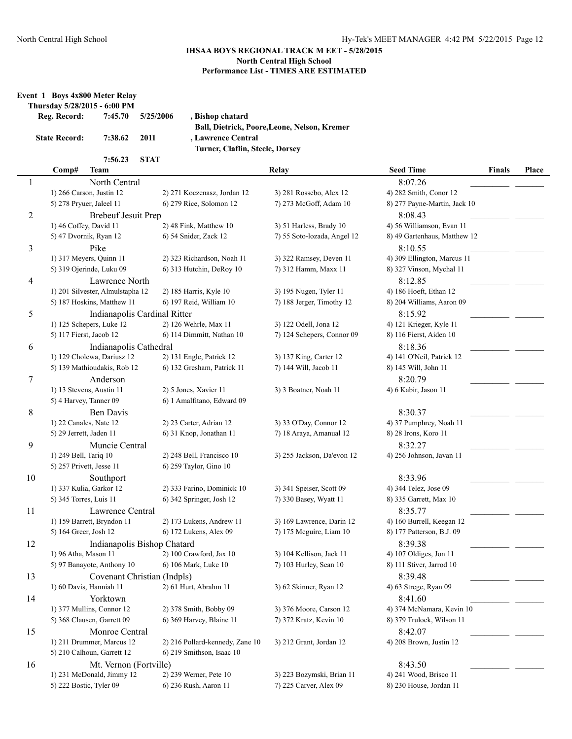**Event 1 Boys 4x800 Meter Relay**

## **IHSAA BOYS REGIONAL TRACK M EET - 5/28/2015 North Central High School Performance List - TIMES ARE ESTIMATED**

|                | Reg. Record:             | Thursday 5/28/2015 - 6:00 PM<br>7:45.70 | 5/25/2006   | , Bishop chatard                | Ball, Dietrick, Poore, Leone, Nelson, Kremer |                              |               |       |
|----------------|--------------------------|-----------------------------------------|-------------|---------------------------------|----------------------------------------------|------------------------------|---------------|-------|
|                | <b>State Record:</b>     | 7:38.62                                 | 2011        | , Lawrence Central              |                                              |                              |               |       |
|                |                          |                                         |             | Turner, Claflin, Steele, Dorsey |                                              |                              |               |       |
|                | Comp#                    | 7:56.23<br>Team                         | <b>STAT</b> |                                 | <b>Relay</b>                                 | <b>Seed Time</b>             | <b>Finals</b> | Place |
| $\mathbf{1}$   |                          | North Central                           |             |                                 |                                              | 8:07.26                      |               |       |
|                | 1) 266 Carson, Justin 12 |                                         |             | 2) 271 Koczenasz, Jordan 12     | 3) 281 Rossebo, Alex 12                      | 4) 282 Smith, Conor 12       |               |       |
|                | 5) 278 Pryuer, Jaleel 11 |                                         |             | 6) 279 Rice, Solomon 12         | 7) 273 McGoff, Adam 10                       | 8) 277 Payne-Martin, Jack 10 |               |       |
| $\overline{c}$ |                          | <b>Brebeuf Jesuit Prep</b>              |             |                                 |                                              | 8:08.43                      |               |       |
|                | 1) 46 Coffey, David 11   |                                         |             | 2) 48 Fink, Matthew 10          | 3) 51 Harless, Brady 10                      | 4) 56 Williamson, Evan 11    |               |       |
|                | 5) 47 Dvornik, Ryan 12   |                                         |             | 6) 54 Snider, Zack 12           | 7) 55 Soto-lozada, Angel 12                  | 8) 49 Gartenhaus, Matthew 12 |               |       |
| 3              |                          | Pike                                    |             |                                 |                                              | 8:10.55                      |               |       |
|                |                          | 1) 317 Meyers, Quinn 11                 |             | 2) 323 Richardson, Noah 11      | 3) 322 Ramsey, Deven 11                      | 4) 309 Ellington, Marcus 11  |               |       |
|                |                          | 5) 319 Ojerinde, Luku 09                |             | 6) 313 Hutchin, DeRoy 10        | 7) 312 Hamm, Maxx 11                         | 8) 327 Vinson, Mychal 11     |               |       |
| 4              |                          | Lawrence North                          |             |                                 |                                              | 8:12.85                      |               |       |
|                |                          | 1) 201 Silvester, Almulstapha 12        |             | 2) 185 Harris, Kyle 10          | 3) 195 Nugen, Tyler 11                       | 4) 186 Hoeft, Ethan 12       |               |       |
|                |                          | 5) 187 Hoskins, Matthew 11              |             | 6) 197 Reid, William 10         | 7) 188 Jerger, Timothy 12                    | 8) 204 Williams, Aaron 09    |               |       |
| 5              |                          | Indianapolis Cardinal Ritter            |             |                                 |                                              | 8:15.92                      |               |       |
|                |                          | 1) 125 Schepers, Luke 12                |             | 2) 126 Wehrle, Max 11           | 3) 122 Odell, Jona 12                        | 4) 121 Krieger, Kyle 11      |               |       |
|                | 5) 117 Fierst, Jacob 12  |                                         |             | 6) 114 Dimmitt, Nathan 10       | 7) 124 Schepers, Connor 09                   | 8) 116 Fierst, Aiden 10      |               |       |
| 6              |                          | Indianapolis Cathedral                  |             |                                 |                                              | 8:18.36                      |               |       |
|                |                          | 1) 129 Cholewa, Dariusz 12              |             | 2) 131 Engle, Patrick 12        | 3) 137 King, Carter 12                       | 4) 141 O'Neil, Patrick 12    |               |       |
|                |                          | 5) 139 Mathioudakis, Rob 12             |             | 6) 132 Gresham, Patrick 11      | 7) 144 Will, Jacob 11                        | 8) 145 Will, John 11         |               |       |
| $\tau$         |                          | Anderson                                |             |                                 |                                              | 8:20.79                      |               |       |
|                | 1) 13 Stevens, Austin 11 |                                         |             | 2) 5 Jones, Xavier 11           | 3) 3 Boatner, Noah 11                        | 4) 6 Kabir, Jason 11         |               |       |
|                | 5) 4 Harvey, Tanner 09   |                                         |             | 6) 1 Amalfitano, Edward 09      |                                              |                              |               |       |
| $8\,$          |                          | Ben Davis                               |             |                                 |                                              | 8:30.37                      |               |       |
|                | 1) 22 Canales, Nate 12   |                                         |             | 2) 23 Carter, Adrian 12         | 3) 33 O'Day, Connor 12                       | 4) 37 Pumphrey, Noah 11      |               |       |
|                | 5) 29 Jerrett, Jaden 11  |                                         |             | 6) 31 Knop, Jonathan 11         | 7) 18 Araya, Amanual 12                      | 8) 28 Irons, Koro 11         |               |       |
| 9              |                          | Muncie Central                          |             |                                 |                                              | 8:32.27                      |               |       |
|                | 1) 249 Bell, Tariq 10    |                                         |             | 2) 248 Bell, Francisco 10       | 3) 255 Jackson, Da'evon 12                   | 4) 256 Johnson, Javan 11     |               |       |
|                | 5) 257 Privett, Jesse 11 |                                         |             | 6) 259 Taylor, Gino 10          |                                              |                              |               |       |
| 10             |                          | Southport                               |             |                                 |                                              | 8:33.96                      |               |       |
|                | 1) 337 Kulia, Garkor 12  |                                         |             | 2) 333 Farino, Dominick 10      | 3) 341 Speiser, Scott 09                     | 4) 344 Telez, Jose 09        |               |       |
|                | 5) 345 Torres, Luis 11   |                                         |             | 6) 342 Springer, Josh 12        | 7) 330 Basey, Wyatt 11                       | 8) 335 Garrett, Max 10       |               |       |
| 11             |                          | Lawrence Central                        |             |                                 |                                              | 8:35.77                      |               |       |
|                |                          | 1) 159 Barrett, Bryndon 11              |             | 2) 173 Lukens, Andrew 11        | 3) 169 Lawrence, Darin 12                    | 4) 160 Burrell, Keegan 12    |               |       |
|                | 5) 164 Greer, Josh 12    |                                         |             | 6) 172 Lukens, Alex 09          | 7) 175 Mcguire, Liam 10                      | 8) 177 Patterson, B.J. 09    |               |       |
| 12             |                          | Indianapolis Bishop Chatard             |             |                                 |                                              | 8:39.38                      |               |       |
|                | 1) 96 Atha, Mason 11     |                                         |             | 2) 100 Crawford, Jax 10         | 3) 104 Kellison, Jack 11                     | 4) 107 Oldiges, Jon 11       |               |       |
|                |                          | 5) 97 Banayote, Anthony 10              |             | 6) 106 Mark, Luke 10            | 7) 103 Hurley, Sean 10                       | 8) 111 Stiver, Jarrod 10     |               |       |
| 13             |                          | Covenant Christian (Indpls)             |             |                                 |                                              | 8:39.48                      |               |       |
|                | 1) 60 Davis, Hanniah 11  |                                         |             | 2) 61 Hurt, Abrahm 11           | 3) 62 Skinner, Ryan 12                       | 4) 63 Strege, Ryan 09        |               |       |
| 14             |                          | Yorktown                                |             |                                 |                                              | 8:41.60                      |               |       |
|                |                          | 1) 377 Mullins, Connor 12               |             | 2) 378 Smith, Bobby 09          | 3) 376 Moore, Carson 12                      | 4) 374 McNamara, Kevin 10    |               |       |
|                |                          | 5) 368 Clausen, Garrett 09              |             | 6) 369 Harvey, Blaine 11        | 7) 372 Kratz, Kevin 10                       | 8) 379 Trulock, Wilson 11    |               |       |
| 15             |                          | Monroe Central                          |             |                                 |                                              | 8:42.07                      |               |       |
|                |                          | 1) 211 Drummer, Marcus 12               |             | 2) 216 Pollard-kennedy, Zane 10 | 3) 212 Grant, Jordan 12                      | 4) 208 Brown, Justin 12      |               |       |
|                |                          | 5) 210 Calhoun, Garrett 12              |             | 6) 219 Smithson, Isaac 10       |                                              |                              |               |       |
| 16             |                          | Mt. Vernon (Fortville)                  |             |                                 |                                              | 8:43.50                      |               |       |
|                |                          | 1) 231 McDonald, Jimmy 12               |             | 2) 239 Werner, Pete 10          | 3) 223 Bozymski, Brian 11                    | 4) 241 Wood, Brisco 11       |               |       |
|                | 5) 222 Bostic, Tyler 09  |                                         |             | 6) 236 Rush, Aaron 11           | 7) 225 Carver, Alex 09                       | 8) 230 House, Jordan 11      |               |       |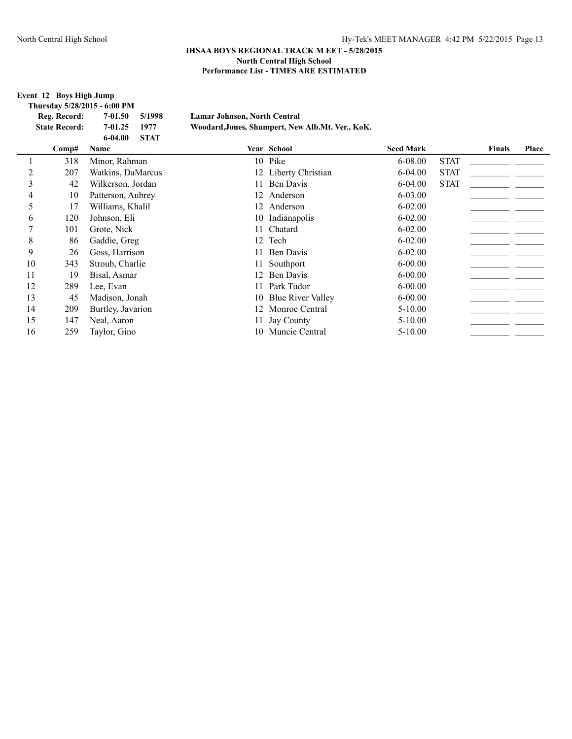**Event 12 Boys High Jump**

| Reg. Record:         | 5/1998<br>7-01.50          | Lamar Johnson, North Central                     |                  |             |               |       |
|----------------------|----------------------------|--------------------------------------------------|------------------|-------------|---------------|-------|
| <b>State Record:</b> | $7 - 01.25$<br>1977        | Woodard, Jones, Shumpert, New Alb.Mt. Ver., KoK. |                  |             |               |       |
|                      | $6 - 04.00$<br><b>STAT</b> |                                                  |                  |             |               |       |
| Comp#                | <b>Name</b>                | <b>Year School</b>                               | <b>Seed Mark</b> |             | <b>Finals</b> | Place |
| 318                  | Minor, Rahman              | 10 Pike                                          | $6-08.00$        | <b>STAT</b> |               |       |
| 207                  | Watkins, DaMarcus          | 12 Liberty Christian                             | $6-04.00$        | <b>STAT</b> |               |       |
| 42                   | Wilkerson, Jordan          | 11 Ben Davis                                     | $6 - 04.00$      | <b>STAT</b> |               |       |
| 10                   | Patterson, Aubrey          | 12 Anderson                                      | $6 - 03.00$      |             |               |       |
| 17                   | Williams, Khalil           | 12 Anderson                                      | $6 - 02.00$      |             |               |       |
|                      |                            | Thursday 5/28/2015 - 6:00 PM                     |                  |             |               |       |

|    | 207 | Watkins, DaMarcus | 12 Liberty Christian | <b>STAT</b><br>$6 - 04.00$ |
|----|-----|-------------------|----------------------|----------------------------|
| 3  | 42  | Wilkerson, Jordan | 11 Ben Davis         | <b>STAT</b><br>$6-04.00$   |
|    | 10  | Patterson, Aubrey | 12 Anderson          | $6 - 03.00$                |
|    | 17  | Williams, Khalil  | 12 Anderson          | $6 - 02.00$                |
| 6  | 120 | Johnson, Eli      | 10 Indianapolis      | $6 - 02.00$                |
|    | 101 | Grote, Nick       | 11 Chatard           | $6 - 02.00$                |
| 8  | 86  | Gaddie, Greg      | 12 Tech              | $6 - 02.00$                |
| 9  | 26  | Goss, Harrison    | 11 Ben Davis         | $6 - 02.00$                |
| 10 | 343 | Stroub, Charlie   | 11 Southport         | $6 - 00.00$                |
| 11 | 19  | Bisal, Asmar      | 12 Ben Davis         | $6 - 00.00$                |
| 12 | 289 | Lee, Evan         | 11 Park Tudor        | $6 - 00.00$                |
| 13 | 45  | Madison, Jonah    | 10 Blue River Valley | $6 - 00.00$                |
| 14 | 209 | Burtley, Javarion | 12 Monroe Central    | $5 - 10.00$                |
| 15 | 147 | Neal, Aaron       | 11 Jay County        | $5 - 10.00$                |
| 16 | 259 | Taylor, Gino      | 10 Muncie Central    | $5 - 10.00$                |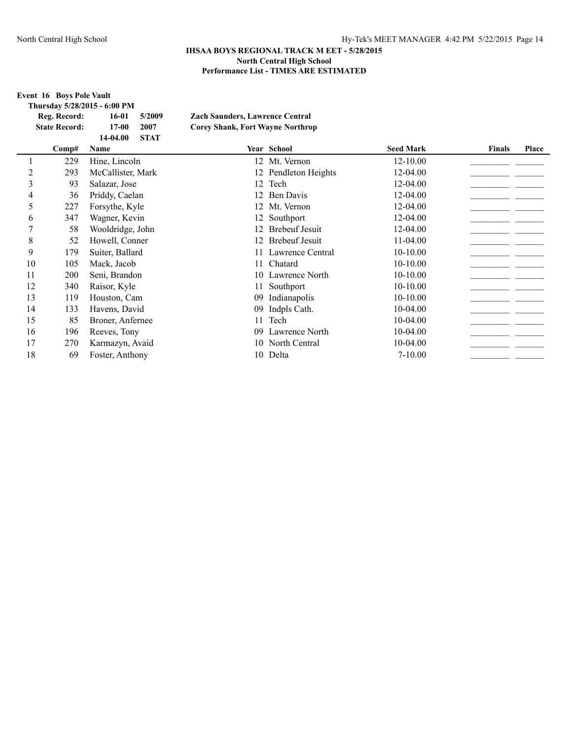|             | <b>Event 16 Boys Pole Vault</b>      | Thursday 5/28/2015 - 6:00 PM                                    |                                                                                   |                       |                  |               |       |
|-------------|--------------------------------------|-----------------------------------------------------------------|-----------------------------------------------------------------------------------|-----------------------|------------------|---------------|-------|
|             | Reg. Record:<br><b>State Record:</b> | 5/2009<br>$16-01$<br>$17-00$<br>2007<br><b>STAT</b><br>14-04.00 | <b>Zach Saunders, Lawrence Central</b><br><b>Corey Shank, Fort Wayne Northrop</b> |                       |                  |               |       |
|             | Comp#                                | <b>Name</b>                                                     |                                                                                   | Year School           | <b>Seed Mark</b> | <b>Finals</b> | Place |
|             | 229                                  | Hine, Lincoln                                                   |                                                                                   | 12 Mt. Vernon         | 12-10.00         |               |       |
| 2           | 293                                  | McCallister, Mark                                               |                                                                                   | 12 Pendleton Heights  | 12-04.00         |               |       |
| 3           | 93                                   | Salazar, Jose                                                   |                                                                                   | 12 Tech               | 12-04.00         |               |       |
| 4           | 36                                   | Priddy, Caelan                                                  |                                                                                   | 12 Ben Davis          | 12-04.00         |               |       |
| 5           | 227                                  | Forsythe, Kyle                                                  | 12                                                                                | Mt. Vernon            | 12-04.00         |               |       |
| 6           | 347                                  | Wagner, Kevin                                                   |                                                                                   | 12 Southport          | 12-04.00         |               |       |
| 7           | 58                                   | Wooldridge, John                                                | 12                                                                                | <b>Brebeuf Jesuit</b> | 12-04.00         |               |       |
| $\,$ 8 $\,$ | 52                                   | Howell, Conner                                                  | 12                                                                                | <b>Brebeuf Jesuit</b> | 11-04.00         |               |       |
| 9           | 179                                  | Suiter, Ballard                                                 | 11                                                                                | Lawrence Central      | $10-10.00$       |               |       |
| 10          | 105                                  | Mack, Jacob                                                     | 11                                                                                | Chatard               | $10-10.00$       |               |       |
| 11          | 200                                  | Seni, Brandon                                                   |                                                                                   | 10 Lawrence North     | $10-10.00$       |               |       |
| 12          | 340                                  | Raisor, Kyle                                                    | 11                                                                                | Southport             | $10-10.00$       |               |       |
| 13          | 119                                  | Houston, Cam                                                    | 09                                                                                | Indianapolis          | $10-10.00$       |               |       |
| 14          | 133                                  | Havens, David                                                   | 09                                                                                | Indpls Cath.          | $10-04.00$       |               |       |
| 15          | 85                                   | Broner, Anfernee                                                | 11                                                                                | Tech                  | $10-04.00$       |               |       |
| 16          | 196                                  | Reeves, Tony                                                    | 09.                                                                               | Lawrence North        | $10-04.00$       |               |       |
| 17          | 270                                  | Karmazyn, Avaid                                                 | 10                                                                                | North Central         | $10-04.00$       |               |       |
| 18          | 69                                   | Foster, Anthony                                                 |                                                                                   | 10 Delta              | $7 - 10.00$      |               |       |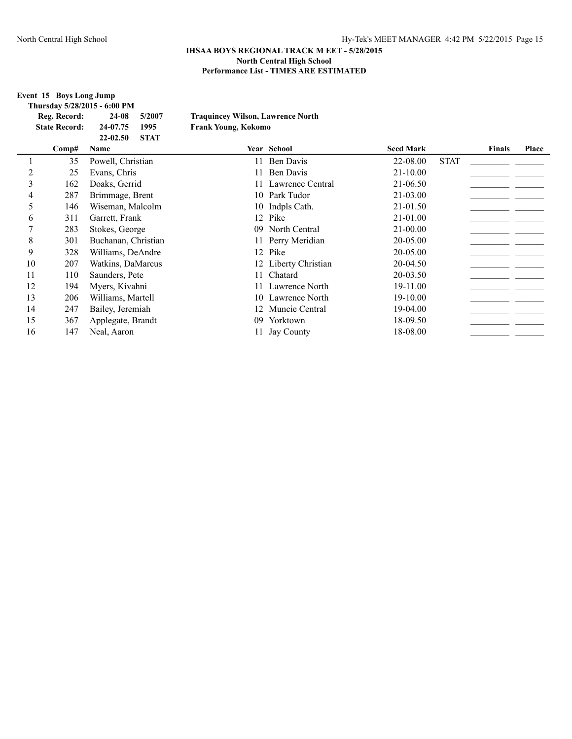**Event 15 Boys Long Jump**

| Thursday 5/28/2015 - 6:00 PM |                  |             |                                          |                  |             |        |       |
|------------------------------|------------------|-------------|------------------------------------------|------------------|-------------|--------|-------|
| Reg. Record:                 | 24-08            | 5/2007      | <b>Traquincey Wilson, Lawrence North</b> |                  |             |        |       |
| <b>State Record:</b>         | 24-07.75         | 1995        | <b>Frank Young, Kokomo</b>               |                  |             |        |       |
|                              | $22 - 02.50$     | <b>STAT</b> |                                          |                  |             |        |       |
| Comp#                        | Name             |             | <b>Year School</b>                       | <b>Seed Mark</b> |             | Finals | Place |
|                              | Powell Christian |             | - Ren Davis                              | 22-08.00         | <b>STAT</b> |        |       |

|    | 35  | Powell, Christian   |    | 11 Ben Davis         | 22-08.00     | <b>STAT</b> |  |
|----|-----|---------------------|----|----------------------|--------------|-------------|--|
|    | 25  | Evans, Chris        |    | 11 Ben Davis         | $21 - 10.00$ |             |  |
| 3  | 162 | Doaks, Gerrid       |    | 11 Lawrence Central  | 21-06.50     |             |  |
| 4  | 287 | Brimmage, Brent     |    | 10 Park Tudor        | $21 - 03.00$ |             |  |
|    | 146 | Wiseman, Malcolm    |    | 10 Indpls Cath.      | 21-01.50     |             |  |
| 6  | 311 | Garrett, Frank      |    | 12 Pike              | 21-01.00     |             |  |
|    | 283 | Stokes, George      |    | 09 North Central     | $21 - 00.00$ |             |  |
| 8  | 301 | Buchanan, Christian |    | 11 Perry Meridian    | 20-05.00     |             |  |
| 9  | 328 | Williams, DeAndre   |    | 12 Pike              | $20 - 05.00$ |             |  |
| 10 | 207 | Watkins, DaMarcus   |    | 12 Liberty Christian | 20-04.50     |             |  |
| 11 | 110 | Saunders, Pete      |    | 11 Chatard           | $20 - 03.50$ |             |  |
| 12 | 194 | Myers, Kivahni      |    | 11 Lawrence North    | 19-11.00     |             |  |
| 13 | 206 | Williams, Martell   |    | 10 Lawrence North    | 19-10.00     |             |  |
| 14 | 247 | Bailey, Jeremiah    |    | 12 Muncie Central    | 19-04.00     |             |  |
| 15 | 367 | Applegate, Brandt   | 09 | Yorktown             | 18-09.50     |             |  |
| 16 | 147 | Neal, Aaron         |    | 11 Jay County        | 18-08.00     |             |  |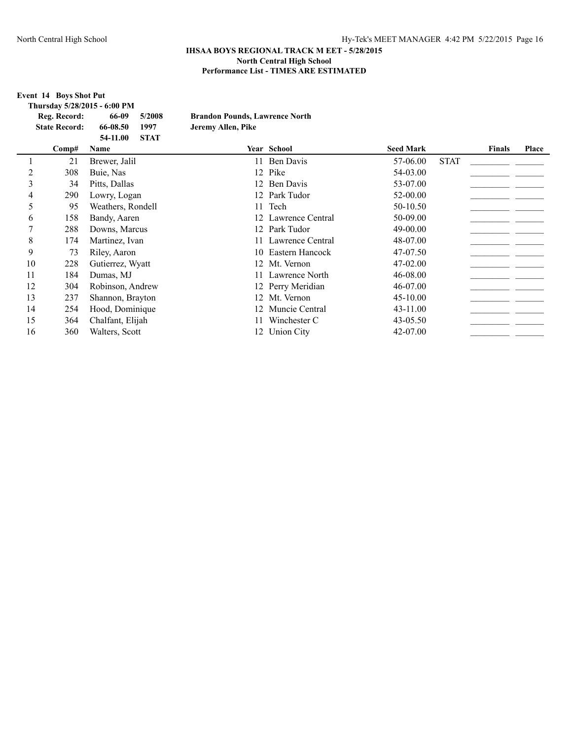**Event 14 Boys Shot Put Thursday 5/28/2015 - 6:00 PM Reg. Record: 66-09 5/2008 Brandon Pounds, Lawrence North State Record: 66-08.50 1997 Jeremy Allen, Pike 54-11.00 STAT Comp# Name Year School Seed Mark Finals Place** 1 21 Brewer, Jalil 11 Ben Davis 57-06.00\_\_\_\_\_\_\_\_\_\_\_\_\_\_\_\_\_\_\_\_\_\_ STAT \_\_\_\_\_\_\_ 2 308 Buie, Nas 12 Pike 54-03.00\_\_\_\_\_\_\_\_\_\_\_\_\_\_\_\_\_\_\_\_\_\_ \_\_\_\_\_\_\_ 3 34 Pitts, Dallas 12 Ben Davis 53-07.00\_\_\_\_\_\_\_\_\_\_\_\_\_\_\_\_\_\_\_\_\_\_ \_\_\_\_\_\_\_ 4 290 Lowry, Logan 12 Park Tudor 52-00.00\_\_\_\_\_\_\_\_\_\_\_\_\_\_\_\_\_\_\_\_\_\_ \_\_\_\_\_\_\_ 5 95 Weathers, Rondell 11 Tech 50-10.50\_\_\_\_\_\_\_\_\_\_\_\_\_\_\_\_\_\_\_\_\_\_ \_\_\_\_\_\_\_ 6 158 Bandy, Aaren 12 Lawrence Central 50-09.00 \_\_\_\_\_\_\_\_\_\_\_\_\_\_\_\_\_\_\_\_\_\_\_\_\_\_\_\_\_\_\_\_ 7 288 Downs, Marcus 12 Park Tudor 49-00.00\_\_\_\_\_\_\_\_\_\_\_\_\_\_\_\_\_\_\_\_\_\_ \_\_\_\_\_\_\_ 8 174 Martinez, Ivan 11 Lawrence Central 48-07.00 \_\_\_\_\_\_\_\_\_\_\_\_\_\_\_\_\_\_\_\_\_\_\_\_\_\_\_\_\_\_ 9 73 Riley, Aaron 10 Eastern Hancock 47-07.50 10 228 Gutierrez, Wyatt 12 Mt. Vernon 47-02.00 11 184 Dumas, MJ 11 Lawrence North 46-08.00 11 Lawrence North 46-08.00 12 304 Robinson, Andrew 12 Perry Meridian 46-07.00 \_\_\_\_\_\_\_\_\_\_\_\_\_\_\_\_\_\_\_\_\_\_\_ 13 237 Shannon, Brayton 12 Mt. Vernon 45-10.00 14 254 Hood, Dominique 12 Muncie Central 43-11.00 15 364 Chalfant, Elijah 11 Winchester C 43-05.50 \_\_\_\_\_\_\_\_\_\_\_\_\_\_\_\_\_\_\_\_\_\_\_\_\_ 16 360 Walters, Scott 12 Union City 42-07.00